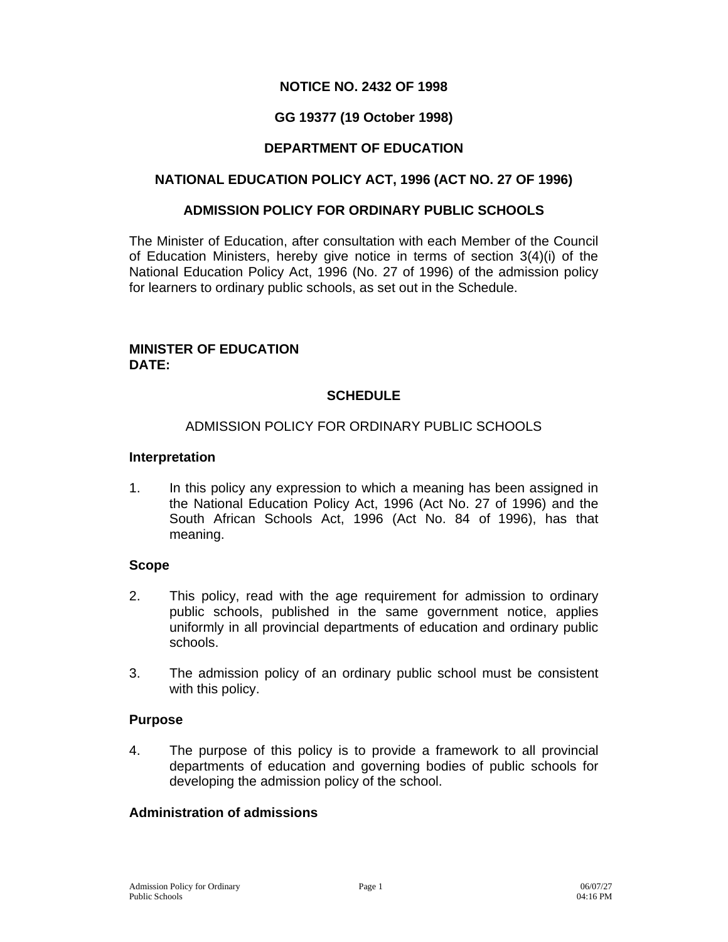# **NOTICE NO. 2432 OF 1998**

# **GG 19377 (19 October 1998)**

# **DEPARTMENT OF EDUCATION**

### **NATIONAL EDUCATION POLICY ACT, 1996 (ACT NO. 27 OF 1996)**

#### **ADMISSION POLICY FOR ORDINARY PUBLIC SCHOOLS**

The Minister of Education, after consultation with each Member of the Council of Education Ministers, hereby give notice in terms of section 3(4)(i) of the National Education Policy Act, 1996 (No. 27 of 1996) of the admission policy for learners to ordinary public schools, as set out in the Schedule.

#### **MINISTER OF EDUCATION DATE:**

# **SCHEDULE**

#### ADMISSION POLICY FOR ORDINARY PUBLIC SCHOOLS

#### **Interpretation**

1. In this policy any expression to which a meaning has been assigned in the National Education Policy Act, 1996 (Act No. 27 of 1996) and the South African Schools Act, 1996 (Act No. 84 of 1996), has that meaning.

### **Scope**

- 2. This policy, read with the age requirement for admission to ordinary public schools, published in the same government notice, applies uniformly in all provincial departments of education and ordinary public schools.
- 3. The admission policy of an ordinary public school must be consistent with this policy.

#### **Purpose**

4. The purpose of this policy is to provide a framework to all provincial departments of education and governing bodies of public schools for developing the admission policy of the school.

#### **Administration of admissions**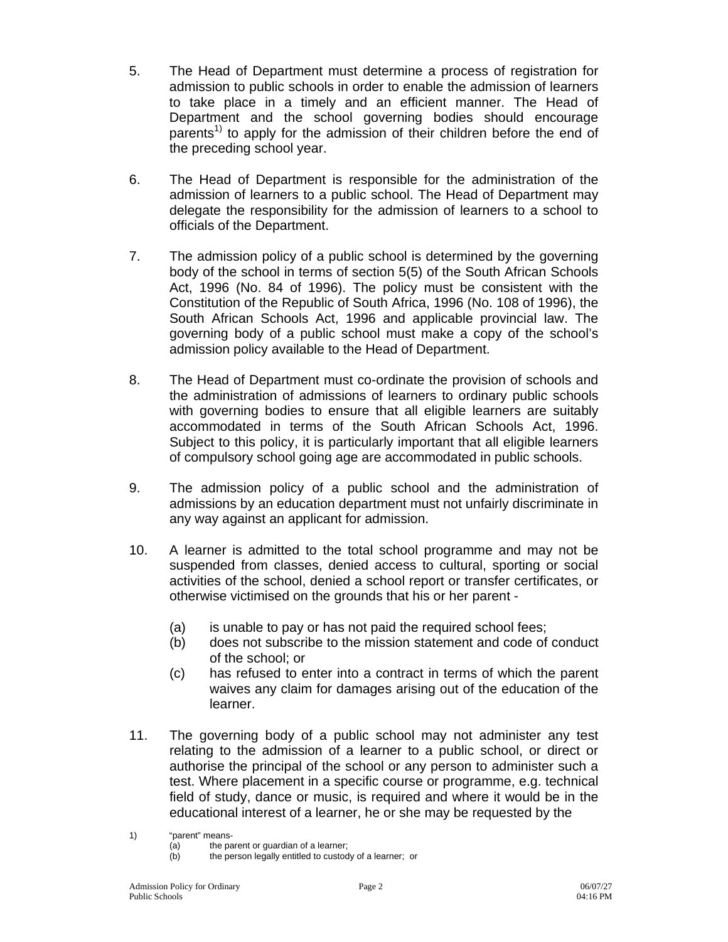- 5. The Head of Department must determine a process of registration for admission to public schools in order to enable the admission of learners to take place in a timely and an efficient manner. The Head of Department and the school governing bodies should encourage parents<sup>1)</sup> to apply for the admission of their children before the end of the preceding school year.
- 6. The Head of Department is responsible for the administration of the admission of learners to a public school. The Head of Department may delegate the responsibility for the admission of learners to a school to officials of the Department.
- 7. The admission policy of a public school is determined by the governing body of the school in terms of section 5(5) of the South African Schools Act, 1996 (No. 84 of 1996). The policy must be consistent with the Constitution of the Republic of South Africa, 1996 (No. 108 of 1996), the South African Schools Act, 1996 and applicable provincial law. The governing body of a public school must make a copy of the school's admission policy available to the Head of Department.
- 8. The Head of Department must co-ordinate the provision of schools and the administration of admissions of learners to ordinary public schools with governing bodies to ensure that all eligible learners are suitably accommodated in terms of the South African Schools Act, 1996. Subject to this policy, it is particularly important that all eligible learners of compulsory school going age are accommodated in public schools.
- 9. The admission policy of a public school and the administration of admissions by an education department must not unfairly discriminate in any way against an applicant for admission.
- 10. A learner is admitted to the total school programme and may not be suspended from classes, denied access to cultural, sporting or social activities of the school, denied a school report or transfer certificates, or otherwise victimised on the grounds that his or her parent -
	- (a) is unable to pay or has not paid the required school fees;
	- (b) does not subscribe to the mission statement and code of conduct of the school; or
	- (c) has refused to enter into a contract in terms of which the parent waives any claim for damages arising out of the education of the learner.
- 11. The governing body of a public school may not administer any test relating to the admission of a learner to a public school, or direct or authorise the principal of the school or any person to administer such a test. Where placement in a specific course or programme, e.g. technical field of study, dance or music, is required and where it would be in the educational interest of a learner, he or she may be requested by the

<sup>1) &</sup>quot;parent" means-

<sup>(</sup>a) the parent or guardian of a learner;

<sup>(</sup>b) the person legally entitled to custody of a learner; or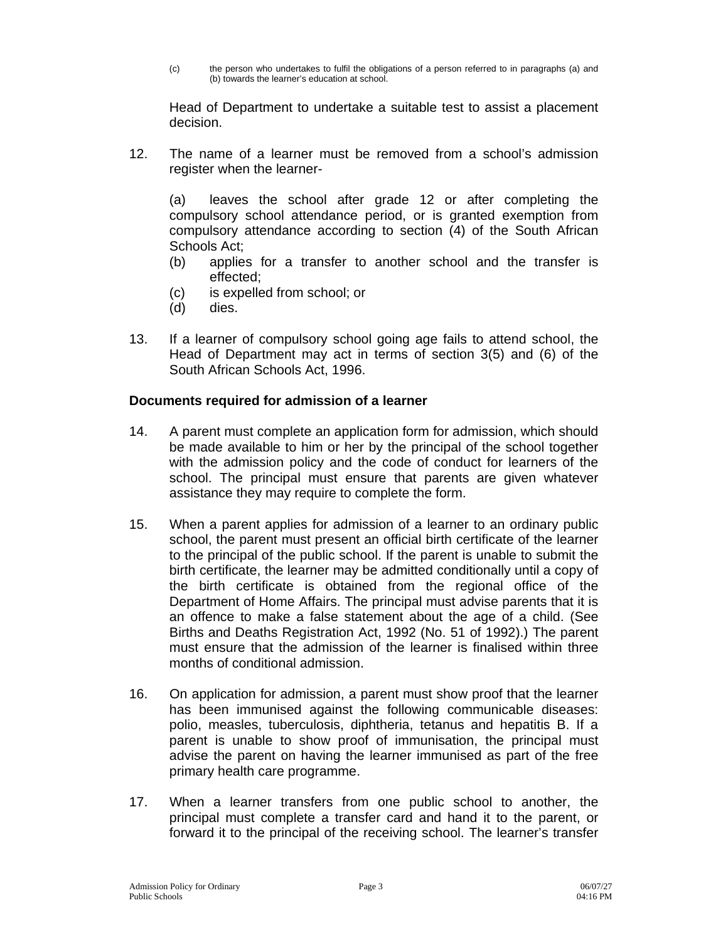(c) the person who undertakes to fulfil the obligations of a person referred to in paragraphs (a) and (b) towards the learner's education at school.

Head of Department to undertake a suitable test to assist a placement decision.

12. The name of a learner must be removed from a school's admission register when the learner-

(a) leaves the school after grade 12 or after completing the compulsory school attendance period, or is granted exemption from compulsory attendance according to section (4) of the South African Schools Act;

- (b) applies for a transfer to another school and the transfer is effected;
- (c) is expelled from school; or
- (d) dies.
- 13. If a learner of compulsory school going age fails to attend school, the Head of Department may act in terms of section 3(5) and (6) of the South African Schools Act, 1996.

### **Documents required for admission of a learner**

- 14. A parent must complete an application form for admission, which should be made available to him or her by the principal of the school together with the admission policy and the code of conduct for learners of the school. The principal must ensure that parents are given whatever assistance they may require to complete the form.
- 15. When a parent applies for admission of a learner to an ordinary public school, the parent must present an official birth certificate of the learner to the principal of the public school. If the parent is unable to submit the birth certificate, the learner may be admitted conditionally until a copy of the birth certificate is obtained from the regional office of the Department of Home Affairs. The principal must advise parents that it is an offence to make a false statement about the age of a child. (See Births and Deaths Registration Act, 1992 (No. 51 of 1992).) The parent must ensure that the admission of the learner is finalised within three months of conditional admission.
- 16. On application for admission, a parent must show proof that the learner has been immunised against the following communicable diseases: polio, measles, tuberculosis, diphtheria, tetanus and hepatitis B. If a parent is unable to show proof of immunisation, the principal must advise the parent on having the learner immunised as part of the free primary health care programme.
- 17. When a learner transfers from one public school to another, the principal must complete a transfer card and hand it to the parent, or forward it to the principal of the receiving school. The learner's transfer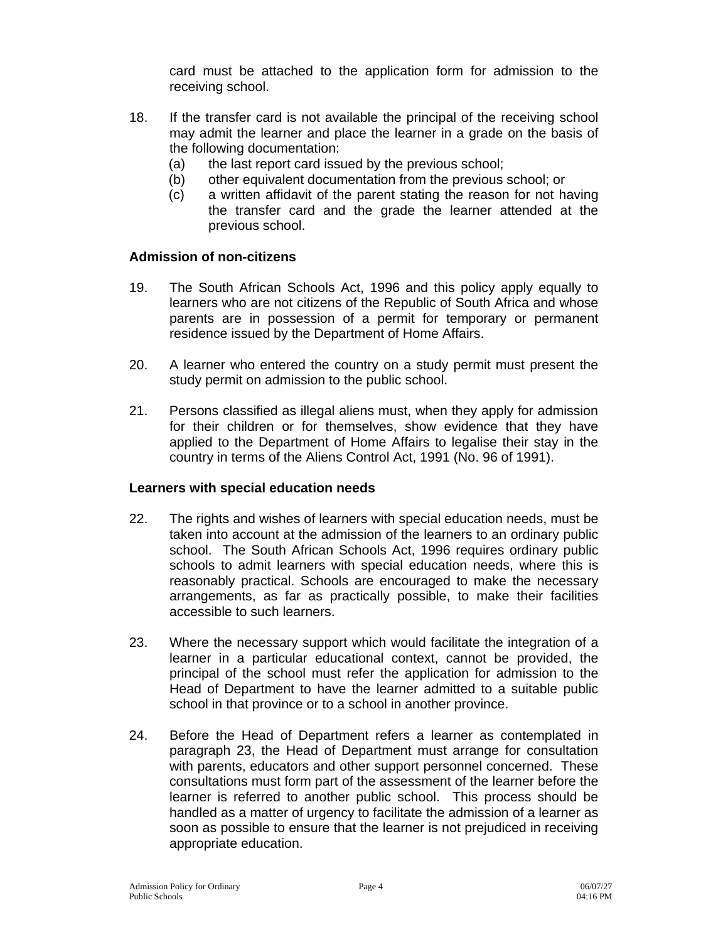card must be attached to the application form for admission to the receiving school.

- 18. If the transfer card is not available the principal of the receiving school may admit the learner and place the learner in a grade on the basis of the following documentation:
	- (a) the last report card issued by the previous school;
	- (b) other equivalent documentation from the previous school; or
	- (c) a written affidavit of the parent stating the reason for not having the transfer card and the grade the learner attended at the previous school.

### **Admission of non-citizens**

- 19. The South African Schools Act, 1996 and this policy apply equally to learners who are not citizens of the Republic of South Africa and whose parents are in possession of a permit for temporary or permanent residence issued by the Department of Home Affairs.
- 20. A learner who entered the country on a study permit must present the study permit on admission to the public school.
- 21. Persons classified as illegal aliens must, when they apply for admission for their children or for themselves, show evidence that they have applied to the Department of Home Affairs to legalise their stay in the country in terms of the Aliens Control Act, 1991 (No. 96 of 1991).

### **Learners with special education needs**

- 22. The rights and wishes of learners with special education needs, must be taken into account at the admission of the learners to an ordinary public school. The South African Schools Act, 1996 requires ordinary public schools to admit learners with special education needs, where this is reasonably practical. Schools are encouraged to make the necessary arrangements, as far as practically possible, to make their facilities accessible to such learners.
- 23. Where the necessary support which would facilitate the integration of a learner in a particular educational context, cannot be provided, the principal of the school must refer the application for admission to the Head of Department to have the learner admitted to a suitable public school in that province or to a school in another province.
- 24. Before the Head of Department refers a learner as contemplated in paragraph 23, the Head of Department must arrange for consultation with parents, educators and other support personnel concerned. These consultations must form part of the assessment of the learner before the learner is referred to another public school. This process should be handled as a matter of urgency to facilitate the admission of a learner as soon as possible to ensure that the learner is not prejudiced in receiving appropriate education.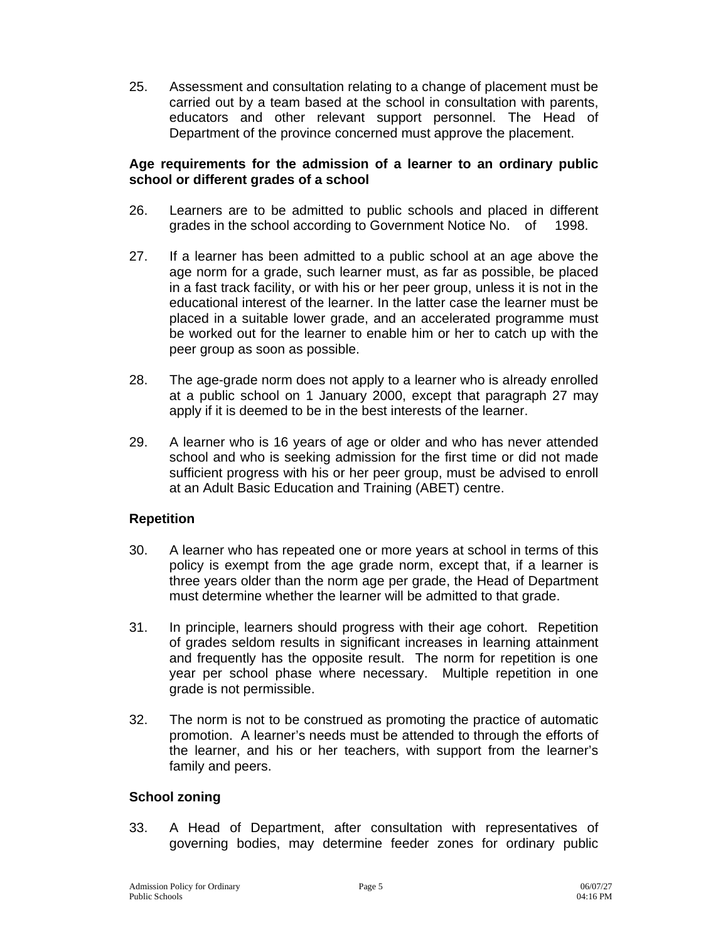25. Assessment and consultation relating to a change of placement must be carried out by a team based at the school in consultation with parents, educators and other relevant support personnel. The Head of Department of the province concerned must approve the placement.

#### **Age requirements for the admission of a learner to an ordinary public school or different grades of a school**

- 26. Learners are to be admitted to public schools and placed in different grades in the school according to Government Notice No. of 1998.
- 27. If a learner has been admitted to a public school at an age above the age norm for a grade, such learner must, as far as possible, be placed in a fast track facility, or with his or her peer group, unless it is not in the educational interest of the learner. In the latter case the learner must be placed in a suitable lower grade, and an accelerated programme must be worked out for the learner to enable him or her to catch up with the peer group as soon as possible.
- 28. The age-grade norm does not apply to a learner who is already enrolled at a public school on 1 January 2000, except that paragraph 27 may apply if it is deemed to be in the best interests of the learner.
- 29. A learner who is 16 years of age or older and who has never attended school and who is seeking admission for the first time or did not made sufficient progress with his or her peer group, must be advised to enroll at an Adult Basic Education and Training (ABET) centre.

### **Repetition**

- 30. A learner who has repeated one or more years at school in terms of this policy is exempt from the age grade norm, except that, if a learner is three years older than the norm age per grade, the Head of Department must determine whether the learner will be admitted to that grade.
- 31. In principle, learners should progress with their age cohort. Repetition of grades seldom results in significant increases in learning attainment and frequently has the opposite result. The norm for repetition is one year per school phase where necessary. Multiple repetition in one grade is not permissible.
- 32. The norm is not to be construed as promoting the practice of automatic promotion. A learner's needs must be attended to through the efforts of the learner, and his or her teachers, with support from the learner's family and peers.

# **School zoning**

33. A Head of Department, after consultation with representatives of governing bodies, may determine feeder zones for ordinary public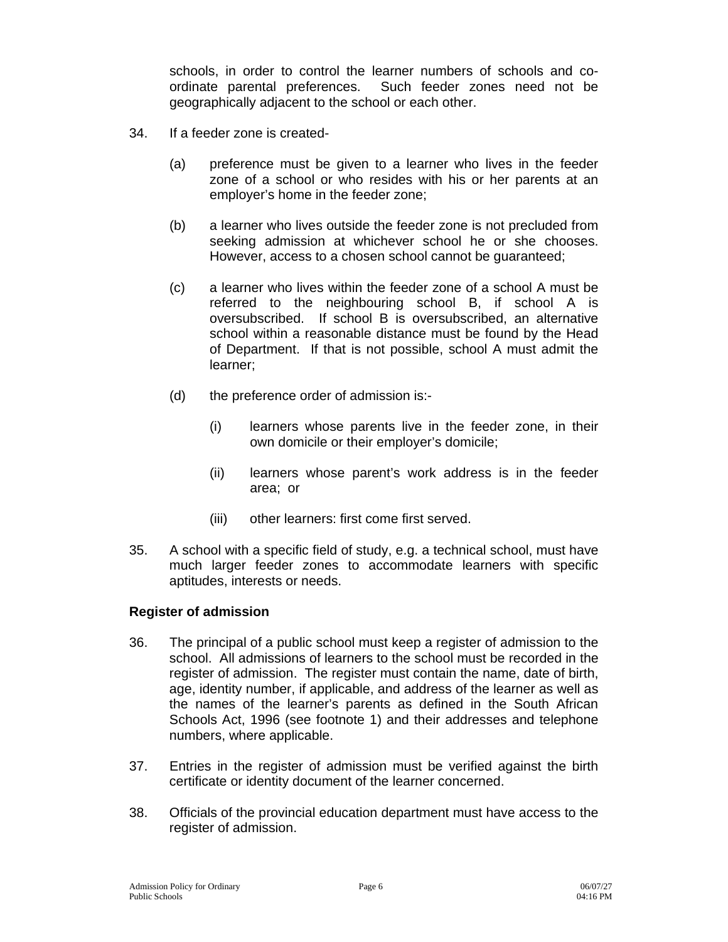schools, in order to control the learner numbers of schools and coordinate parental preferences. Such feeder zones need not be geographically adjacent to the school or each other.

- 34. If a feeder zone is created-
	- (a) preference must be given to a learner who lives in the feeder zone of a school or who resides with his or her parents at an employer's home in the feeder zone;
	- (b) a learner who lives outside the feeder zone is not precluded from seeking admission at whichever school he or she chooses. However, access to a chosen school cannot be guaranteed;
	- (c) a learner who lives within the feeder zone of a school A must be referred to the neighbouring school B, if school A is oversubscribed. If school B is oversubscribed, an alternative school within a reasonable distance must be found by the Head of Department. If that is not possible, school A must admit the learner;
	- (d) the preference order of admission is:-
		- (i) learners whose parents live in the feeder zone, in their own domicile or their employer's domicile;
		- (ii) learners whose parent's work address is in the feeder area; or
		- (iii) other learners: first come first served.
- 35. A school with a specific field of study, e.g. a technical school, must have much larger feeder zones to accommodate learners with specific aptitudes, interests or needs.

#### **Register of admission**

- 36. The principal of a public school must keep a register of admission to the school. All admissions of learners to the school must be recorded in the register of admission. The register must contain the name, date of birth, age, identity number, if applicable, and address of the learner as well as the names of the learner's parents as defined in the South African Schools Act, 1996 (see footnote 1) and their addresses and telephone numbers, where applicable.
- 37. Entries in the register of admission must be verified against the birth certificate or identity document of the learner concerned.
- 38. Officials of the provincial education department must have access to the register of admission.